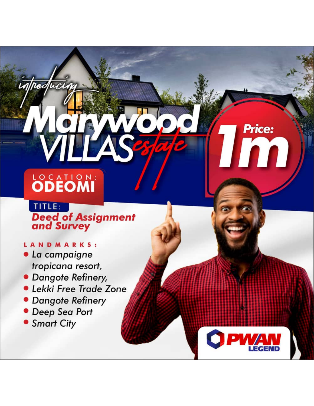# LOCATION:

poduci

# TITLE: **Deed of Assignment**<br>and Survey

**Price:** 

## LANDMARKS:

- · La campaigne tropicana resort,
- · Dangote Refinery,
- · Lekki Free Trade Zone
- · Dangote Refinery
- Deep Sea Port
- Smart City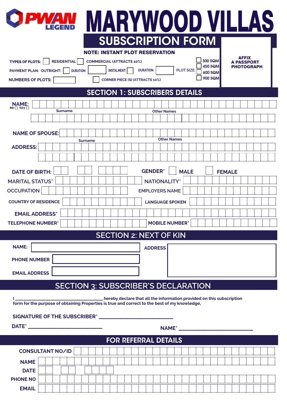| <b>PWAN</b>                                                                                   | MARYWOOD VILLAS                                                                       |  |
|-----------------------------------------------------------------------------------------------|---------------------------------------------------------------------------------------|--|
|                                                                                               | <b>SUBSCRIPTION FORM</b>                                                              |  |
| <b>NOTE: INSTANT PLOT RESERVATION</b>                                                         |                                                                                       |  |
| <b>TYPES OF PLOTS:</b><br><b>RESIDENTIAL</b><br><b>COMMERCIAL (ATTRACTS 10%)</b>              | AFFIX<br>300 SQM<br>A PASSPORT<br>450 SQM                                             |  |
| <b>INSTALMENT:</b><br>PAYMENT PLAN: OUTRIGHT:<br><b>DURATION:</b>                             | <b>PHOTOGRAPH</b><br><b>DURATION:</b><br><b>PLOT SIZE:</b><br>600 SQM                 |  |
| <b>NUMBERS OF PLOTS:</b><br><b>CORNER PIECE (S) (ATTRACTS 10%)</b>                            | <b>900 SQM</b>                                                                        |  |
| <b>SECTION 1: SUBSCRIBERS DETAILS</b>                                                         |                                                                                       |  |
| <b>NAME:</b><br>Mr <sub>D</sub> Mrs <sub>D</sub>                                              |                                                                                       |  |
| <b>Surname</b>                                                                                | <b>Other Names</b>                                                                    |  |
|                                                                                               |                                                                                       |  |
| <b>NAME OF SPOUSE:</b>                                                                        | <b>Other Names</b>                                                                    |  |
| <b>Surname</b><br><b>ADDRESS:</b>                                                             |                                                                                       |  |
|                                                                                               |                                                                                       |  |
|                                                                                               |                                                                                       |  |
| <b>DATE OF BIRTH:</b>                                                                         | <b>GENDER*</b><br><b>MALE</b><br><b>FEMALE</b>                                        |  |
| <b>MARITAL STATUS*</b>                                                                        | <b>NATIONALITY</b>                                                                    |  |
| <b>OCCUPATION</b>                                                                             | <b>EMPLOYERS NAME</b>                                                                 |  |
| <b>COUNTRY OF RESIDENCE</b>                                                                   | <b>LANGUAGE SPOKEN</b>                                                                |  |
| <b>EMAIL ADDRESS*</b>                                                                         |                                                                                       |  |
| <b>TELEPHONE NUMBER*</b>                                                                      |                                                                                       |  |
|                                                                                               | <b>MOBILE NUMBER*</b>                                                                 |  |
|                                                                                               | <b>SECTION 2: NEXT OF KIN</b>                                                         |  |
| <b>NAME:</b>                                                                                  | <b>ADDRESS</b>                                                                        |  |
| <b>PHONE NUMBER</b>                                                                           |                                                                                       |  |
|                                                                                               |                                                                                       |  |
| <b>EMAIL ADDRESS</b>                                                                          |                                                                                       |  |
| <b>SECTION 3: SUBSCRIBER'S DECLARATION</b>                                                    |                                                                                       |  |
| form for the purpose of obtaining Properties is true and correct to the best of my knowledge, | _______________ hereby declare that all the information provided on this subscription |  |
|                                                                                               |                                                                                       |  |
|                                                                                               |                                                                                       |  |
|                                                                                               | <b>FOR REFERRAL DETAILS</b>                                                           |  |
| <b>CONSULTANT NO/ID</b>                                                                       |                                                                                       |  |
| <b>NAME</b>                                                                                   |                                                                                       |  |
| <b>DATE</b>                                                                                   |                                                                                       |  |
| <b>PHONE NO</b>                                                                               |                                                                                       |  |